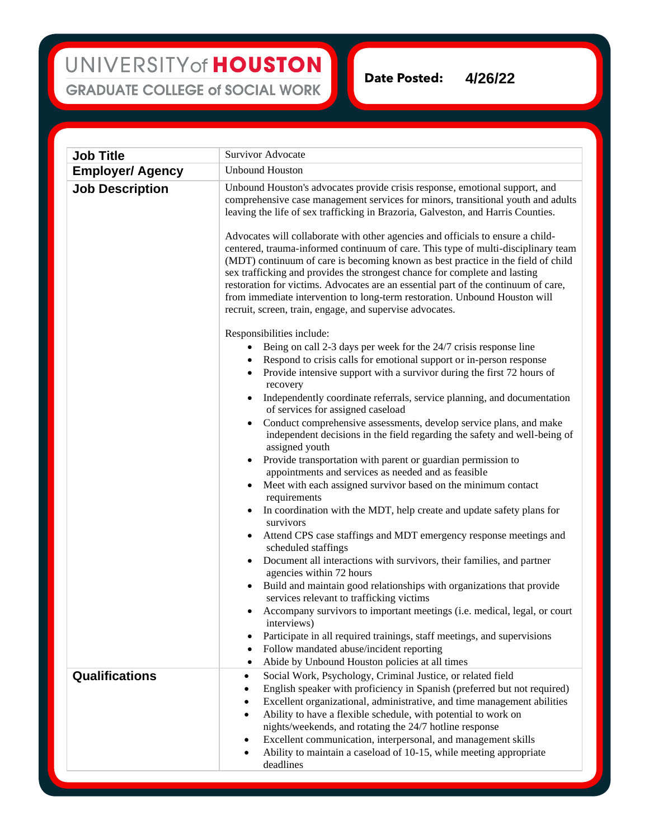## UNIVERSITY of HOUSTON **GRADUATE COLLEGE of SOCIAL WORK**

**Date Posted: 4/26/22**

**Job Title** Survivor Advocate **Employer/ Agency** Unbound Houston **Job Description** Unbound Houston's advocates provide crisis response, emotional support, and comprehensive case management services for minors, transitional youth and adults leaving the life of sex trafficking in Brazoria, Galveston, and Harris Counties. Advocates will collaborate with other agencies and officials to ensure a childcentered, trauma-informed continuum of care. This type of multi-disciplinary team (MDT) continuum of care is becoming known as best practice in the field of child sex trafficking and provides the strongest chance for complete and lasting restoration for victims. Advocates are an essential part of the continuum of care, from immediate intervention to long-term restoration. Unbound Houston will recruit, screen, train, engage, and supervise advocates. Responsibilities include: Being on call 2-3 days per week for the 24/7 crisis response line • Respond to crisis calls for emotional support or in-person response • Provide intensive support with a survivor during the first 72 hours of recovery • Independently coordinate referrals, service planning, and documentation of services for assigned caseload • Conduct comprehensive assessments, develop service plans, and make independent decisions in the field regarding the safety and well-being of assigned youth • Provide transportation with parent or guardian permission to appointments and services as needed and as feasible Meet with each assigned survivor based on the minimum contact requirements • In coordination with the MDT, help create and update safety plans for survivors • Attend CPS case staffings and MDT emergency response meetings and scheduled staffings • Document all interactions with survivors, their families, and partner agencies within 72 hours • Build and maintain good relationships with organizations that provide services relevant to trafficking victims • Accompany survivors to important meetings (i.e. medical, legal, or court interviews) • Participate in all required trainings, staff meetings, and supervisions • Follow mandated abuse/incident reporting • Abide by Unbound Houston policies at all times **Qualifications** • Social Work, Psychology, Criminal Justice, or related field • English speaker with proficiency in Spanish (preferred but not required) • Excellent organizational, administrative, and time management abilities • Ability to have a flexible schedule, with potential to work on nights/weekends, and rotating the 24/7 hotline response • Excellent communication, interpersonal, and management skills • Ability to maintain a caseload of 10-15, while meeting appropriate deadlines